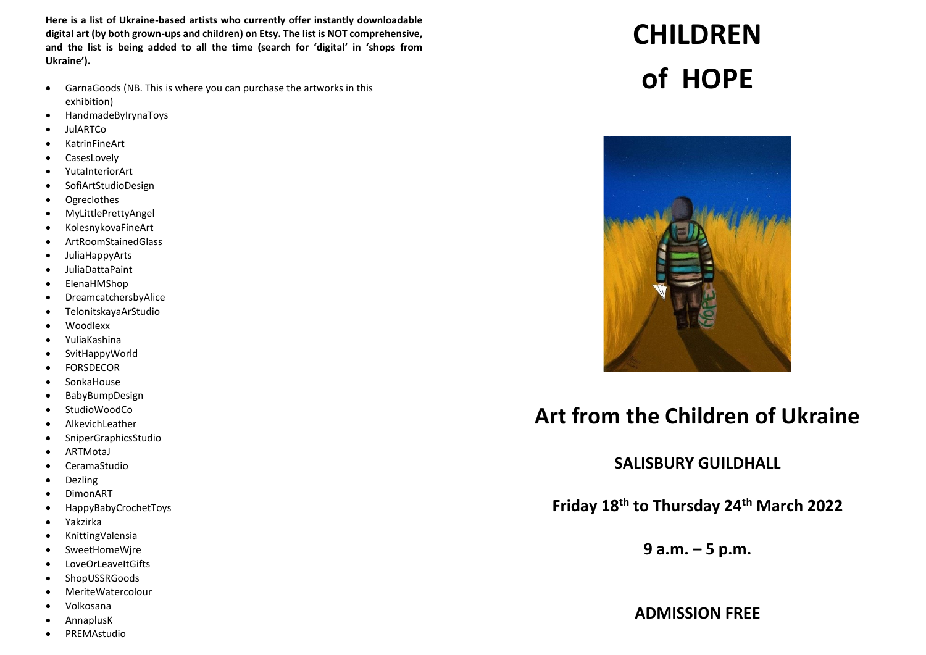**Here is a list of Ukraine-based artists who currently offer instantly downloadable digital art (by both grown-ups and children) on Etsy. The list is NOT comprehensive, and the list is being added to all the time (search for 'digital' in 'shops from Ukraine').** 

- GarnaGoods (NB. This is where you can purchase the artworks in this exhibition)
- HandmadeByIrynaToys
- JulARTCo
- KatrinFineArt
- CasesLovely
- YutaInteriorArt
- SofiArtStudioDesign
- Ogreclothes
- MyLittlePrettyAngel
- KolesnykovaFineArt
- ArtRoomStainedGlass
- JuliaHappyArts
- JuliaDattaPaint
- ElenaHMShop
- DreamcatchersbyAlice
- TelonitskayaArStudio
- Woodlexx
- YuliaKashina
- SvitHappyWorld
- FORSDECOR
- SonkaHouse
- BabyBumpDesign
- StudioWoodCo
- AlkevichLeather
- SniperGraphicsStudio
- ARTMotaJ
- CeramaStudio
- Dezling
- DimonART
- HappyBabyCrochetToys
- Yakzirka
- KnittingValensia
- SweetHomeWjre
- LoveOrLeaveItGifts
- ShopUSSRGoods
- MeriteWatercolour
- Volkosana
- AnnaplusK
- PREMAstudio

## **CHILDREN of HOPE**



## **Art from the Children of Ukraine**

**SALISBURY GUILDHALL**

**Friday 18th to Thursday 24th March 2022**

**9 a.m. – 5 p.m.**

**ADMISSION FREE**